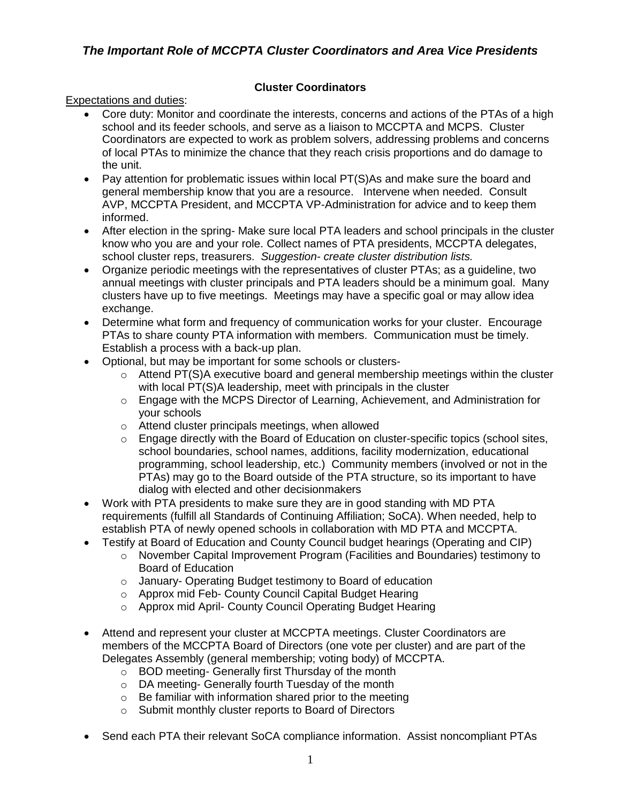## **Cluster Coordinators**

Expectations and duties:

- Core duty: Monitor and coordinate the interests, concerns and actions of the PTAs of a high school and its feeder schools, and serve as a liaison to MCCPTA and MCPS. Cluster Coordinators are expected to work as problem solvers, addressing problems and concerns of local PTAs to minimize the chance that they reach crisis proportions and do damage to the unit.
- Pay attention for problematic issues within local PT(S)As and make sure the board and general membership know that you are a resource. Intervene when needed. Consult AVP, MCCPTA President, and MCCPTA VP-Administration for advice and to keep them informed.
- After election in the spring- Make sure local PTA leaders and school principals in the cluster know who you are and your role. Collect names of PTA presidents, MCCPTA delegates, school cluster reps, treasurers. *Suggestion- create cluster distribution lists.*
- Organize periodic meetings with the representatives of cluster PTAs; as a guideline, two annual meetings with cluster principals and PTA leaders should be a minimum goal. Many clusters have up to five meetings. Meetings may have a specific goal or may allow idea exchange.
- Determine what form and frequency of communication works for your cluster. Encourage PTAs to share county PTA information with members. Communication must be timely. Establish a process with a back-up plan.
- Optional, but may be important for some schools or clusters-
	- $\circ$  Attend PT(S)A executive board and general membership meetings within the cluster with local PT(S)A leadership, meet with principals in the cluster
	- $\circ$  Engage with the MCPS Director of Learning, Achievement, and Administration for your schools
	- o Attend cluster principals meetings, when allowed
	- $\circ$  Engage directly with the Board of Education on cluster-specific topics (school sites, school boundaries, school names, additions, facility modernization, educational programming, school leadership, etc.) Community members (involved or not in the PTAs) may go to the Board outside of the PTA structure, so its important to have dialog with elected and other decisionmakers
- Work with PTA presidents to make sure they are in good standing with MD PTA requirements (fulfill all Standards of Continuing Affiliation; SoCA). When needed, help to establish PTA of newly opened schools in collaboration with MD PTA and MCCPTA.
- Testify at Board of Education and County Council budget hearings (Operating and CIP)
	- o November Capital Improvement Program (Facilities and Boundaries) testimony to Board of Education
	- o January- Operating Budget testimony to Board of education
	- o Approx mid Feb- County Council Capital Budget Hearing
	- o Approx mid April- County Council Operating Budget Hearing
- Attend and represent your cluster at MCCPTA meetings. Cluster Coordinators are members of the MCCPTA Board of Directors (one vote per cluster) and are part of the Delegates Assembly (general membership; voting body) of MCCPTA.
	- o BOD meeting- Generally first Thursday of the month
	- o DA meeting- Generally fourth Tuesday of the month
	- o Be familiar with information shared prior to the meeting
	- o Submit monthly cluster reports to Board of Directors
- Send each PTA their relevant SoCA compliance information. Assist noncompliant PTAs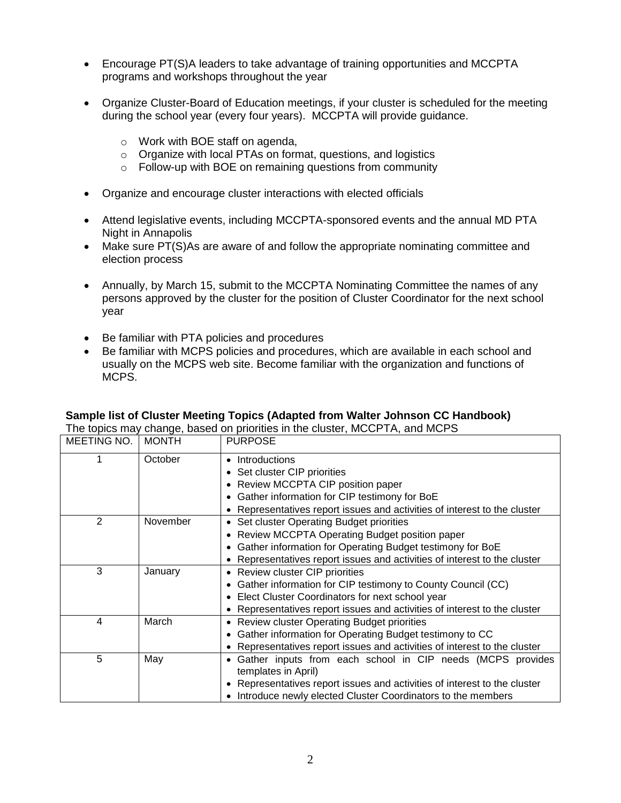- Encourage PT(S)A leaders to take advantage of training opportunities and MCCPTA programs and workshops throughout the year
- Organize Cluster-Board of Education meetings, if your cluster is scheduled for the meeting during the school year (every four years). MCCPTA will provide guidance.
	- o Work with BOE staff on agenda,
	- o Organize with local PTAs on format, questions, and logistics
	- o Follow-up with BOE on remaining questions from community
- Organize and encourage cluster interactions with elected officials
- Attend legislative events, including MCCPTA-sponsored events and the annual MD PTA Night in Annapolis
- Make sure PT(S)As are aware of and follow the appropriate nominating committee and election process
- Annually, by March 15, submit to the MCCPTA Nominating Committee the names of any persons approved by the cluster for the position of Cluster Coordinator for the next school year
- Be familiar with PTA policies and procedures
- Be familiar with MCPS policies and procedures, which are available in each school and usually on the MCPS web site. Become familiar with the organization and functions of MCPS.

| The topics may change, based on priorities in the cluster, MCCPTA, and MCPS |              |                                                                                     |
|-----------------------------------------------------------------------------|--------------|-------------------------------------------------------------------------------------|
| MEETING NO.                                                                 | <b>MONTH</b> | <b>PURPOSE</b>                                                                      |
|                                                                             | October      | • Introductions                                                                     |
|                                                                             |              | • Set cluster CIP priorities                                                        |
|                                                                             |              | • Review MCCPTA CIP position paper                                                  |
|                                                                             |              | Gather information for CIP testimony for BoE                                        |
|                                                                             |              | • Representatives report issues and activities of interest to the cluster           |
| 2                                                                           | November     | • Set cluster Operating Budget priorities                                           |
|                                                                             |              | • Review MCCPTA Operating Budget position paper                                     |
|                                                                             |              | • Gather information for Operating Budget testimony for BoE                         |
|                                                                             |              | • Representatives report issues and activities of interest to the cluster           |
| 3                                                                           | January      | • Review cluster CIP priorities                                                     |
|                                                                             |              | • Gather information for CIP testimony to County Council (CC)                       |
|                                                                             |              | • Elect Cluster Coordinators for next school year                                   |
|                                                                             |              | • Representatives report issues and activities of interest to the cluster           |
| 4                                                                           | March        | • Review cluster Operating Budget priorities                                        |
|                                                                             |              | Gather information for Operating Budget testimony to CC                             |
|                                                                             |              | • Representatives report issues and activities of interest to the cluster           |
| 5                                                                           | May          | • Gather inputs from each school in CIP needs (MCPS provides<br>templates in April) |
|                                                                             |              | • Representatives report issues and activities of interest to the cluster           |
|                                                                             |              | • Introduce newly elected Cluster Coordinators to the members                       |

## **Sample list of Cluster Meeting Topics (Adapted from Walter Johnson CC Handbook)**  $\sim$  priorities in the cluster, MCCDTA, and MCDC